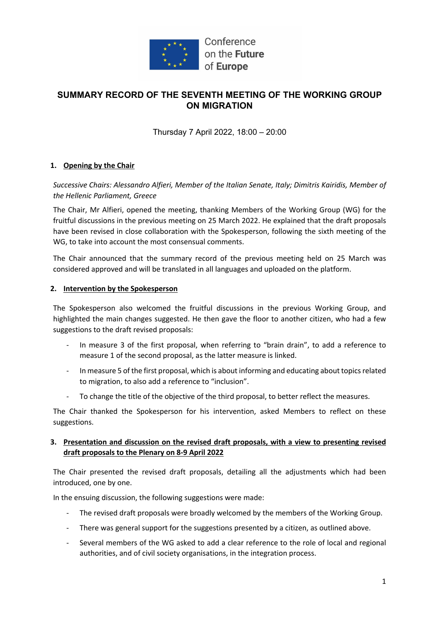

## **SUMMARY RECORD OF THE SEVENTH MEETING OF THE WORKING GROUP ON MIGRATION**

Thursday 7 April 2022, 18:00 – 20:00

#### **1. Opening by the Chair**

*Successive Chairs: Alessandro Alfieri, Member of the Italian Senate, Italy; Dimitris Kairidis, Member of the Hellenic Parliament, Greece*

The Chair, Mr Alfieri, opened the meeting, thanking Members of the Working Group (WG) for the fruitful discussions in the previous meeting on 25 March 2022. He explained that the draft proposals have been revised in close collaboration with the Spokesperson, following the sixth meeting of the WG, to take into account the most consensual comments.

The Chair announced that the summary record of the previous meeting held on 25 March was considered approved and will be translated in all languages and uploaded on the platform.

#### **2. Intervention by the Spokesperson**

The Spokesperson also welcomed the fruitful discussions in the previous Working Group, and highlighted the main changes suggested. He then gave the floor to another citizen, who had a few suggestions to the draft revised proposals:

- In measure 3 of the first proposal, when referring to "brain drain", to add a reference to measure 1 of the second proposal, as the latter measure is linked.
- In measure 5 of the first proposal, which is about informing and educating about topics related to migration, to also add a reference to "inclusion".
- To change the title of the objective of the third proposal, to better reflect the measures.

The Chair thanked the Spokesperson for his intervention, asked Members to reflect on these suggestions.

#### **3. Presentation and discussion on the revised draft proposals, with a view to presenting revised draft proposals to the Plenary on 8-9 April 2022**

The Chair presented the revised draft proposals, detailing all the adjustments which had been introduced, one by one.

In the ensuing discussion, the following suggestions were made:

- The revised draft proposals were broadly welcomed by the members of the Working Group.
- There was general support for the suggestions presented by a citizen, as outlined above.
- Several members of the WG asked to add a clear reference to the role of local and regional authorities, and of civil society organisations, in the integration process.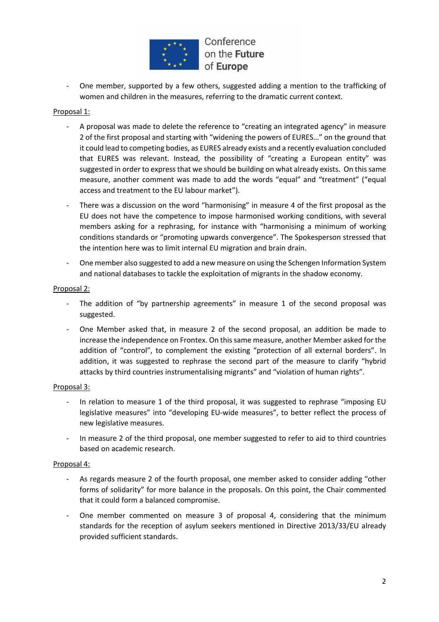

One member, supported by a few others, suggested adding a mention to the trafficking of women and children in the measures, referring to the dramatic current context.

#### Proposal 1:

- A proposal was made to delete the reference to "creating an integrated agency" in measure 2 of the first proposal and starting with "widening the powers of EURES…" on the ground that it could lead to competing bodies, as EURES already exists and a recently evaluation concluded that EURES was relevant. Instead, the possibility of "creating a European entity" was suggested in order to express that we should be building on what already exists. On this same measure, another comment was made to add the words "equal" and "treatment" ("equal access and treatment to the EU labour market").
- There was a discussion on the word "harmonising" in measure 4 of the first proposal as the EU does not have the competence to impose harmonised working conditions, with several members asking for a rephrasing, for instance with "harmonising a minimum of working conditions standards or "promoting upwards convergence". The Spokesperson stressed that the intention here was to limit internal EU migration and brain drain.
- One member also suggested to add a new measure on using the Schengen Information System and national databases to tackle the exploitation of migrants in the shadow economy.

#### Proposal 2:

- The addition of "by partnership agreements" in measure 1 of the second proposal was suggested.
- One Member asked that, in measure 2 of the second proposal, an addition be made to increase the independence on Frontex. On this same measure, another Member asked for the addition of "control", to complement the existing "protection of all external borders". In addition, it was suggested to rephrase the second part of the measure to clarify "hybrid attacks by third countries instrumentalising migrants" and "violation of human rights".

#### Proposal 3:

- In relation to measure 1 of the third proposal, it was suggested to rephrase "imposing EU legislative measures" into "developing EU-wide measures", to better reflect the process of new legislative measures.
- In measure 2 of the third proposal, one member suggested to refer to aid to third countries based on academic research.

#### Proposal 4:

- As regards measure 2 of the fourth proposal, one member asked to consider adding "other forms of solidarity" for more balance in the proposals. On this point, the Chair commented that it could form a balanced compromise.
- One member commented on measure 3 of proposal 4, considering that the minimum standards for the reception of asylum seekers mentioned in Directive 2013/33/EU already provided sufficient standards.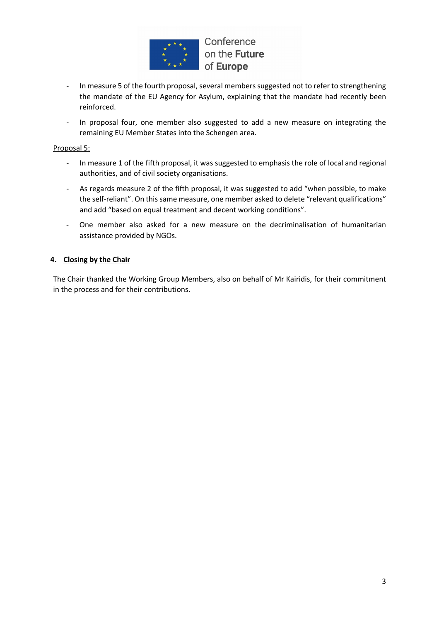

- In measure 5 of the fourth proposal, several members suggested not to refer to strengthening the mandate of the EU Agency for Asylum, explaining that the mandate had recently been reinforced.
- In proposal four, one member also suggested to add a new measure on integrating the remaining EU Member States into the Schengen area.

#### Proposal 5:

- In measure 1 of the fifth proposal, it was suggested to emphasis the role of local and regional authorities, and of civil society organisations.
- As regards measure 2 of the fifth proposal, it was suggested to add "when possible, to make the self-reliant". On this same measure, one member asked to delete "relevant qualifications" and add "based on equal treatment and decent working conditions".
- One member also asked for a new measure on the decriminalisation of humanitarian assistance provided by NGOs.

#### **4. Closing by the Chair**

The Chair thanked the Working Group Members, also on behalf of Mr Kairidis, for their commitment in the process and for their contributions.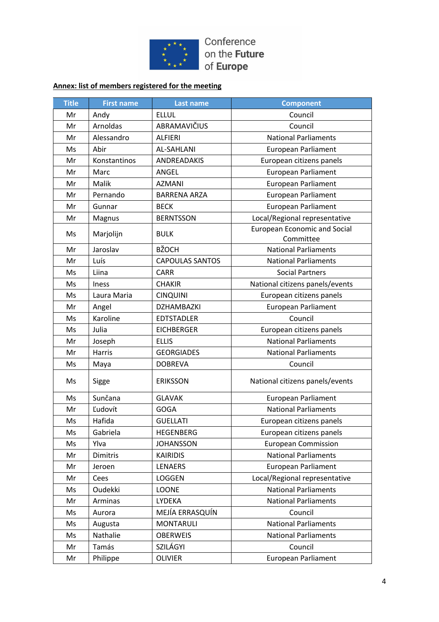

### **Annex: list of members registered for the meeting**

| <b>Title</b> | <b>First name</b> | <b>Last name</b>       | <b>Component</b>                                 |
|--------------|-------------------|------------------------|--------------------------------------------------|
| Mr           | Andy              | <b>ELLUL</b>           | Council                                          |
| Mr           | Arnoldas          | ABRAMAVIČIUS           | Council                                          |
| Mr           | Alessandro        | <b>ALFIERI</b>         | <b>National Parliaments</b>                      |
| Ms           | Abir              | <b>AL-SAHLANI</b>      | <b>European Parliament</b>                       |
| Mr           | Konstantinos      | ANDREADAKIS            | European citizens panels                         |
| Mr           | Marc              | ANGEL                  | <b>European Parliament</b>                       |
| Mr           | Malik             | <b>AZMANI</b>          | European Parliament                              |
| Mr           | Pernando          | <b>BARRENA ARZA</b>    | European Parliament                              |
| Mr           | Gunnar            | <b>BECK</b>            | European Parliament                              |
| Mr           | Magnus            | <b>BERNTSSON</b>       | Local/Regional representative                    |
| Ms           | Marjolijn         | <b>BULK</b>            | <b>European Economic and Social</b><br>Committee |
| Mr           | Jaroslav          | <b>BŽOCH</b>           | <b>National Parliaments</b>                      |
| Mr           | Luís              | <b>CAPOULAS SANTOS</b> | <b>National Parliaments</b>                      |
| Ms           | Liina             | <b>CARR</b>            | <b>Social Partners</b>                           |
| Ms           | <b>Iness</b>      | <b>CHAKIR</b>          | National citizens panels/events                  |
| Ms           | Laura Maria       | <b>CINQUINI</b>        | European citizens panels                         |
| Mr           | Angel             | DZHAMBAZKI             | <b>European Parliament</b>                       |
| Ms           | Karoline          | <b>EDTSTADLER</b>      | Council                                          |
| Ms           | Julia             | <b>EICHBERGER</b>      | European citizens panels                         |
| Mr           | Joseph            | <b>ELLIS</b>           | <b>National Parliaments</b>                      |
| Mr           | <b>Harris</b>     | <b>GEORGIADES</b>      | <b>National Parliaments</b>                      |
| Ms           | Maya              | <b>DOBREVA</b>         | Council                                          |
| Ms           | Sigge             | <b>ERIKSSON</b>        | National citizens panels/events                  |
| Ms           | Sunčana           | <b>GLAVAK</b>          | European Parliament                              |
| Mr           | Ľudovít           | <b>GOGA</b>            | <b>National Parliaments</b>                      |
| Ms           | Hafida            | <b>GUELLATI</b>        | European citizens panels                         |
| Ms           | Gabriela          | <b>HEGENBERG</b>       | European citizens panels                         |
| Ms           | Ylva              | <b>JOHANSSON</b>       | <b>European Commission</b>                       |
| Mr           | Dimitris          | <b>KAIRIDIS</b>        | <b>National Parliaments</b>                      |
| Mr           | Jeroen            | <b>LENAERS</b>         | European Parliament                              |
| Mr           | Cees              | LOGGEN                 | Local/Regional representative                    |
| Ms           | Oudekki           | LOONE                  | <b>National Parliaments</b>                      |
| Mr           | Arminas           | LYDEKA                 | <b>National Parliaments</b>                      |
| Ms           | Aurora            | MEJÍA ERRASQUÍN        | Council                                          |
| Ms           | Augusta           | <b>MONTARULI</b>       | <b>National Parliaments</b>                      |
| Ms           | Nathalie          | <b>OBERWEIS</b>        | <b>National Parliaments</b>                      |
| Mr           | Tamás             | SZILÁGYI               | Council                                          |
| Mr           | Philippe          | <b>OLIVIER</b>         | European Parliament                              |